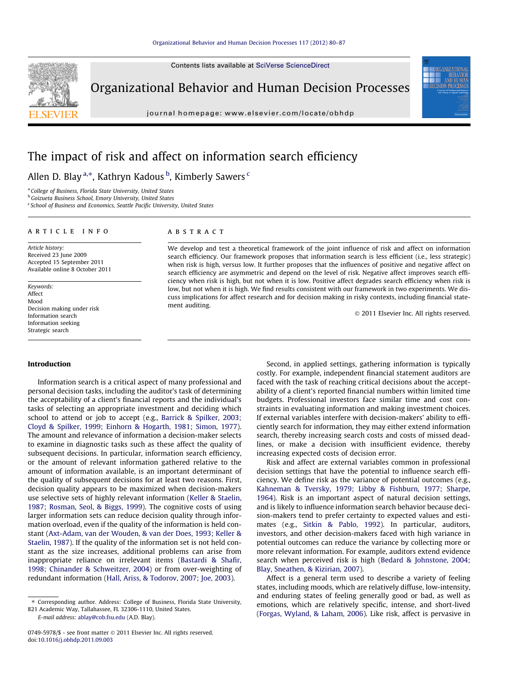Contents lists available at [SciVerse ScienceDirect](http://www.sciencedirect.com/science/journal/07495978)

Organizational Behavior and Human Decision Processes

journal homepage: [www.elsevier.com/locate/obhdp](http://www.elsevier.com/locate/obhdp)

# The impact of risk and affect on information search efficiency

Allen D. Blay <sup>a,</sup>\*, Kathryn Kadous <sup>b</sup>, Kimberly Sawers <sup>c</sup>

<sup>a</sup> College of Business, Florida State University, United States

**b Goizueta Business School, Emory University, United States** 

<sup>c</sup> School of Business and Economics, Seattle Pacific University, United States

## article info

Article history: Received 23 June 2009 Accepted 15 September 2011 Available online 8 October 2011

Keywords: Affect Mood Decision making under risk Information search Information seeking Strategic search

### **ABSTRACT**

We develop and test a theoretical framework of the joint influence of risk and affect on information search efficiency. Our framework proposes that information search is less efficient (i.e., less strategic) when risk is high, versus low. It further proposes that the influences of positive and negative affect on search efficiency are asymmetric and depend on the level of risk. Negative affect improves search efficiency when risk is high, but not when it is low. Positive affect degrades search efficiency when risk is low, but not when it is high. We find results consistent with our framework in two experiments. We discuss implications for affect research and for decision making in risky contexts, including financial statement auditing.

- 2011 Elsevier Inc. All rights reserved.

# Introduction

Information search is a critical aspect of many professional and personal decision tasks, including the auditor's task of determining the acceptability of a client's financial reports and the individual's tasks of selecting an appropriate investment and deciding which school to attend or job to accept (e.g., [Barrick & Spilker, 2003;](#page--1-0) [Cloyd & Spilker, 1999; Einhorn & Hogarth, 1981; Simon, 1977\)](#page--1-0). The amount and relevance of information a decision-maker selects to examine in diagnostic tasks such as these affect the quality of subsequent decisions. In particular, information search efficiency, or the amount of relevant information gathered relative to the amount of information available, is an important determinant of the quality of subsequent decisions for at least two reasons. First, decision quality appears to be maximized when decision-makers use selective sets of highly relevant information ([Keller & Staelin,](#page--1-0) [1987; Rosman, Seol, & Biggs, 1999](#page--1-0)). The cognitive costs of using larger information sets can reduce decision quality through information overload, even if the quality of the information is held constant [\(Axt-Adam, van der Wouden, & van der Does, 1993; Keller &](#page--1-0) [Staelin, 1987\)](#page--1-0). If the quality of the information set is not held constant as the size increases, additional problems can arise from inappropriate reliance on irrelevant items [\(Bastardi & Shafir,](#page--1-0) [1998; Chinander & Schweitzer, 2004\)](#page--1-0) or from over-weighting of redundant information [\(Hall, Ariss, & Todorov, 2007; Joe, 2003](#page--1-0)).

E-mail address: [ablay@cob.fsu.edu](mailto:ablay@cob.fsu.edu) (A.D. Blay).

Second, in applied settings, gathering information is typically costly. For example, independent financial statement auditors are faced with the task of reaching critical decisions about the acceptability of a client's reported financial numbers within limited time budgets. Professional investors face similar time and cost constraints in evaluating information and making investment choices. If external variables interfere with decision-makers' ability to efficiently search for information, they may either extend information search, thereby increasing search costs and costs of missed deadlines, or make a decision with insufficient evidence, thereby increasing expected costs of decision error.

Risk and affect are external variables common in professional decision settings that have the potential to influence search efficiency. We define risk as the variance of potential outcomes (e.g., [Kahneman & Tversky, 1979; Libby & Fishburn, 1977; Sharpe,](#page--1-0) [1964\)](#page--1-0). Risk is an important aspect of natural decision settings, and is likely to influence information search behavior because decision-makers tend to prefer certainty to expected values and estimates (e.g., [Sitkin & Pablo, 1992](#page--1-0)). In particular, auditors, investors, and other decision-makers faced with high variance in potential outcomes can reduce the variance by collecting more or more relevant information. For example, auditors extend evidence search when perceived risk is high [\(Bedard & Johnstone, 2004;](#page--1-0) [Blay, Sneathen, & Kizirian, 2007\)](#page--1-0).

Affect is a general term used to describe a variety of feeling states, including moods, which are relatively diffuse, low-intensity, and enduring states of feeling generally good or bad, as well as emotions, which are relatively specific, intense, and short-lived ([Forgas, Wyland, & Laham, 2006\)](#page--1-0). Like risk, affect is pervasive in

<sup>⇑</sup> Corresponding author. Address: College of Business, Florida State University, 821 Academic Way, Tallahassee, FL 32306-1110, United States.

<sup>0749-5978/\$ -</sup> see front matter © 2011 Elsevier Inc. All rights reserved. doi:[10.1016/j.obhdp.2011.09.003](http://dx.doi.org/10.1016/j.obhdp.2011.09.003)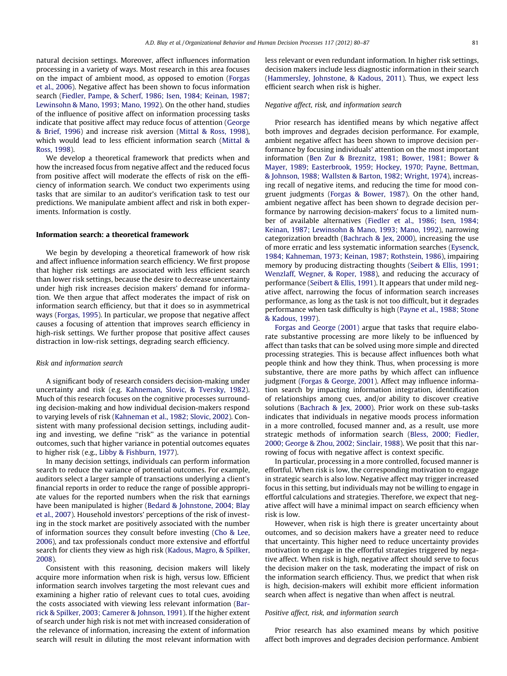natural decision settings. Moreover, affect influences information processing in a variety of ways. Most research in this area focuses on the impact of ambient mood, as opposed to emotion [\(Forgas](#page--1-0) [et al., 2006\)](#page--1-0). Negative affect has been shown to focus information search ([Fiedler, Pampe, & Scherf, 1986; Isen, 1984; Keinan, 1987;](#page--1-0) [Lewinsohn & Mano, 1993; Mano, 1992](#page--1-0)). On the other hand, studies of the influence of positive affect on information processing tasks indicate that positive affect may reduce focus of attention ([George](#page--1-0) [& Brief, 1996\)](#page--1-0) and increase risk aversion ([Mittal & Ross, 1998\)](#page--1-0), which would lead to less efficient information search [\(Mittal &](#page--1-0) [Ross, 1998](#page--1-0)).

We develop a theoretical framework that predicts when and how the increased focus from negative affect and the reduced focus from positive affect will moderate the effects of risk on the efficiency of information search. We conduct two experiments using tasks that are similar to an auditor's verification task to test our predictions. We manipulate ambient affect and risk in both experiments. Information is costly.

# Information search: a theoretical framework

We begin by developing a theoretical framework of how risk and affect influence information search efficiency. We first propose that higher risk settings are associated with less efficient search than lower risk settings, because the desire to decrease uncertainty under high risk increases decision makers' demand for information. We then argue that affect moderates the impact of risk on information search efficiency, but that it does so in asymmetrical ways [\(Forgas, 1995](#page--1-0)). In particular, we propose that negative affect causes a focusing of attention that improves search efficiency in high-risk settings. We further propose that positive affect causes distraction in low-risk settings, degrading search efficiency.

# Risk and information search

A significant body of research considers decision-making under uncertainty and risk (e.g. [Kahneman, Slovic, & Tversky, 1982\)](#page--1-0). Much of this research focuses on the cognitive processes surrounding decision-making and how individual decision-makers respond to varying levels of risk ([Kahneman et al., 1982; Slovic, 2002\)](#page--1-0). Consistent with many professional decision settings, including auditing and investing, we define "risk" as the variance in potential outcomes, such that higher variance in potential outcomes equates to higher risk (e.g., [Libby & Fishburn, 1977](#page--1-0)).

In many decision settings, individuals can perform information search to reduce the variance of potential outcomes. For example, auditors select a larger sample of transactions underlying a client's financial reports in order to reduce the range of possible appropriate values for the reported numbers when the risk that earnings have been manipulated is higher [\(Bedard & Johnstone, 2004; Blay](#page--1-0) [et al., 2007\)](#page--1-0). Household investors' perceptions of the risk of investing in the stock market are positively associated with the number of information sources they consult before investing [\(Cho & Lee,](#page--1-0) [2006](#page--1-0)), and tax professionals conduct more extensive and effortful search for clients they view as high risk [\(Kadous, Magro, & Spilker,](#page--1-0) [2008](#page--1-0)).

Consistent with this reasoning, decision makers will likely acquire more information when risk is high, versus low. Efficient information search involves targeting the most relevant cues and examining a higher ratio of relevant cues to total cues, avoiding the costs associated with viewing less relevant information ([Bar](#page--1-0)[rick & Spilker, 2003; Camerer & Johnson, 1991\)](#page--1-0). If the higher extent of search under high risk is not met with increased consideration of the relevance of information, increasing the extent of information search will result in diluting the most relevant information with less relevant or even redundant information. In higher risk settings, decision makers include less diagnostic information in their search ([Hammersley, Johnstone, & Kadous, 2011\)](#page--1-0). Thus, we expect less efficient search when risk is higher.

### Negative affect, risk, and information search

Prior research has identified means by which negative affect both improves and degrades decision performance. For example, ambient negative affect has been shown to improve decision performance by focusing individuals' attention on the most important information ([Ben Zur & Breznitz, 1981; Bower, 1981; Bower &](#page--1-0) [Mayer, 1989; Easterbrook, 1959; Hockey, 1970; Payne, Bettman,](#page--1-0) [& Johnson, 1988; Wallsten & Barton, 1982; Wright, 1974](#page--1-0)), increasing recall of negative items, and reducing the time for mood congruent judgments [\(Forgas & Bower, 1987](#page--1-0)). On the other hand, ambient negative affect has been shown to degrade decision performance by narrowing decision-makers' focus to a limited number of available alternatives [\(Fiedler et al., 1986; Isen, 1984;](#page--1-0) [Keinan, 1987; Lewinsohn & Mano, 1993; Mano, 1992\)](#page--1-0), narrowing categorization breadth ([Bachrach & Jex, 2000\)](#page--1-0), increasing the use of more erratic and less systematic information searches [\(Eysenck,](#page--1-0) [1984; Kahneman, 1973; Keinan, 1987; Rothstein, 1986\)](#page--1-0), impairing memory by producing distracting thoughts [\(Seibert & Ellis, 1991;](#page--1-0) [Wenzlaff, Wegner, & Roper, 1988](#page--1-0)), and reducing the accuracy of performance [\(Seibert & Ellis, 1991](#page--1-0)). It appears that under mild negative affect, narrowing the focus of information search increases performance, as long as the task is not too difficult, but it degrades performance when task difficulty is high ([Payne et al., 1988; Stone](#page--1-0) [& Kadous, 1997\)](#page--1-0).

[Forgas and George \(2001\)](#page--1-0) argue that tasks that require elaborate substantive processing are more likely to be influenced by affect than tasks that can be solved using more simple and directed processing strategies. This is because affect influences both what people think and how they think. Thus, when processing is more substantive, there are more paths by which affect can influence judgment ([Forgas & George, 2001\)](#page--1-0). Affect may influence information search by impacting information integration, identification of relationships among cues, and/or ability to discover creative solutions ([Bachrach & Jex, 2000\)](#page--1-0). Prior work on these sub-tasks indicates that individuals in negative moods process information in a more controlled, focused manner and, as a result, use more strategic methods of information search [\(Bless, 2000; Fiedler,](#page--1-0) [2000; George & Zhou, 2002; Sinclair, 1988](#page--1-0)). We posit that this narrowing of focus with negative affect is context specific.

In particular, processing in a more controlled, focused manner is effortful. When risk is low, the corresponding motivation to engage in strategic search is also low. Negative affect may trigger increased focus in this setting, but individuals may not be willing to engage in effortful calculations and strategies. Therefore, we expect that negative affect will have a minimal impact on search efficiency when risk is low.

However, when risk is high there is greater uncertainty about outcomes, and so decision makers have a greater need to reduce that uncertainty. This higher need to reduce uncertainty provides motivation to engage in the effortful strategies triggered by negative affect. When risk is high, negative affect should serve to focus the decision maker on the task, moderating the impact of risk on the information search efficiency. Thus, we predict that when risk is high, decision-makers will exhibit more efficient information search when affect is negative than when affect is neutral.

#### Positive affect, risk, and information search

Prior research has also examined means by which positive affect both improves and degrades decision performance. Ambient